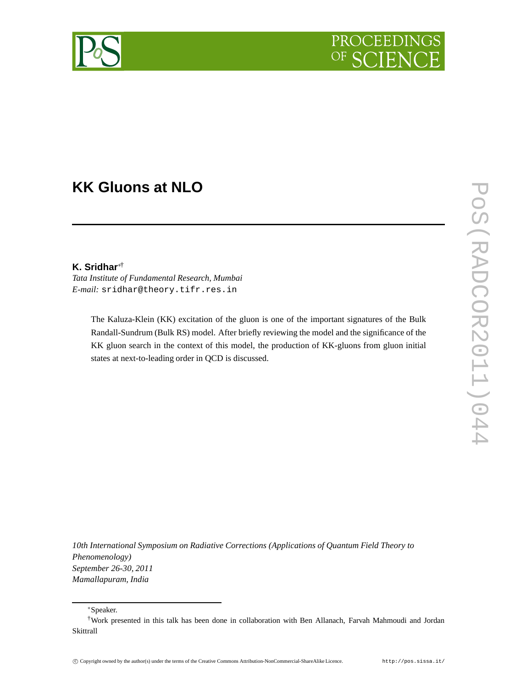

# **KK Gluons at NLO**

### **K. Sridhar**∗†

*Tata Institute of Fundamental Research, Mumbai E-mail:* sridhar@theory.tifr.res.in

> The Kaluza-Klein (KK) excitation of the gluon is one of the important signatures of the Bulk Randall-Sundrum (Bulk RS) model. After briefly reviewing the model and the significance of the KK gluon search in the context of this model, the production of KK-gluons from gluon initial states at next-to-leading order in QCD is discussed.

*10th International Symposium on Radiative Corrections (Applications of Quantum Field Theory to Phenomenology) September 26-30, 2011 Mamallapuram, India*

∗Speaker.

<sup>†</sup>Work presented in this talk has been done in collaboration with Ben Allanach, Farvah Mahmoudi and Jordan Skittrall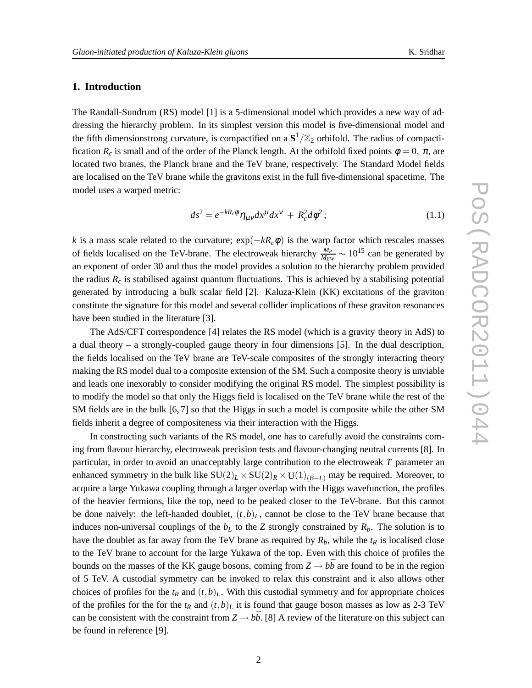## **1. Introduction**

The Randall-Sundrum (RS) model [1] is a 5-dimensional model which provides a new way of addressing the hierarchy problem. In its simplest version this model is five-dimensional model and the fifth dimensionstrong curvature, is compactified on a  $S^1/\mathbb{Z}_2$  orbifold. The radius of compactification  $R_c$  is small and of the order of the Planck length. At the orbifold fixed points  $\phi = 0$ ,  $\pi$ , are located two branes, the Planck brane and the TeV brane, respectively. The Standard Model fields are localised on the TeV brane while the gravitons exist in the full five-dimensional spacetime. The model uses a warped metric:

$$
ds^2 = e^{-kR_c\phi} \eta_{\mu\nu} dx^{\mu} dx^{\nu} + R_c^2 d\phi^2; \qquad (1.1)
$$

*k* is a mass scale related to the curvature;  $exp(-kR_c\phi)$  is the warp factor which rescales masses of fields localised on the TeV-brane. The electroweak hierarchy  $\frac{M_P}{M_{EW}} \sim 10^{15}$  can be generated by an exponent of order 30 and thus the model provides a solution to the hierarchy problem provided the radius  $R_c$  is stabilised against quantum fluctuations. This is achieved by a stabilising potential generated by introducing a bulk scalar field [2]. Kaluza-Klein (KK) excitations of the graviton constitute the signature for this model and several collider implications of these graviton resonances have been studied in the literature [3].

The AdS/CFT correspondence [4] relates the RS model (which is a gravity theory in AdS) to a dual theory – a strongly-coupled gauge theory in four dimensions [5]. In the dual description, the fields localised on the TeV brane are TeV-scale composites of the strongly interacting theory making the RS model dual to a composite extension of the SM. Such a composite theory is unviable and leads one inexorably to consider modifying the original RS model. The simplest possibility is to modify the model so that only the Higgs field is localised on the TeV brane while the rest of the SM fields are in the bulk [6, 7] so that the Higgs in such a model is composite while the other SM fields inherit a degree of compositeness via their interaction with the Higgs.

In constructing such variants of the RS model, one has to carefully avoid the constraints coming from flavour hierarchy, electroweak precision tests and flavour-changing neutral currents [8]. In particular, in order to avoid an unacceptably large contribution to the electroweak *T* parameter an enhanced symmetry in the bulk like  $SU(2)_L \times SU(2)_R \times U(1)_{(B-L)}$  may be required. Moreover, to acquire a large Yukawa coupling through a larger overlap with the Higgs wavefunction, the profiles of the heavier fermions, like the top, need to be peaked closer to the TeV-brane. But this cannot be done naively: the left-handed doublet,  $(t,b)_L$ , cannot be close to the TeV brane because that induces non-universal couplings of the  $b<sub>L</sub>$  to the *Z* strongly constrained by  $R<sub>b</sub>$ . The solution is to have the doublet as far away from the TeV brane as required by  $R_b$ , while the  $t_R$  is localised close to the TeV brane to account for the large Yukawa of the top. Even with this choice of profiles the bounds on the masses of the KK gauge bosons, coming from  $Z \rightarrow b\bar{b}$  are found to be in the region of 5 TeV. A custodial symmetry can be invoked to relax this constraint and it also allows other choices of profiles for the  $t_R$  and  $(t,b)_L$ . With this custodial symmetry and for appropriate choices of the profiles for the for the  $t_R$  and  $(t,b)_L$  it is found that gauge boson masses as low as 2-3 TeV can be consistent with the constraint from  $Z \rightarrow b\bar{b}$ . [8] A review of the literature on this subject can be found in reference [9].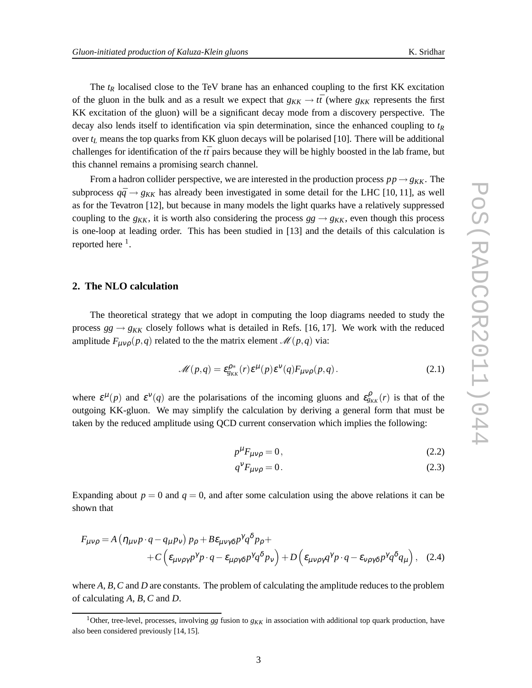The  $t_R$  localised close to the TeV brane has an enhanced coupling to the first KK excitation of the gluon in the bulk and as a result we expect that  $g_{KK} \to t\bar{t}$  (where  $g_{KK}$  represents the first KK excitation of the gluon) will be a significant decay mode from a discovery perspective. The decay also lends itself to identification via spin determination, since the enhanced coupling to *t<sup>R</sup>* over  $t_L$  means the top quarks from KK gluon decays will be polarised [10]. There will be additional challenges for identification of the  $t\bar{t}$  pairs because they will be highly boosted in the lab frame, but this channel remains a promising search channel.

From a hadron collider perspective, we are interested in the production process  $pp \rightarrow g_{KK}$ . The subprocess  $q\bar{q} \rightarrow g_{KK}$  has already been investigated in some detail for the LHC [10, 11], as well as for the Tevatron [12], but because in many models the light quarks have a relatively suppressed coupling to the  $g_{KK}$ , it is worth also considering the process  $gg \rightarrow g_{KK}$ , even though this process is one-loop at leading order. This has been studied in [13] and the details of this calculation is reported here  $<sup>1</sup>$ .</sup>

## **2. The NLO calculation**

The theoretical strategy that we adopt in computing the loop diagrams needed to study the process  $gg \rightarrow g_{KK}$  closely follows what is detailed in Refs. [16, 17]. We work with the reduced amplitude  $F_{\mu\nu\rho}(p,q)$  related to the the matrix element  $\mathcal{M}(p,q)$  via:

$$
\mathcal{M}(p,q) = \varepsilon_{g_{KK}}^{\rho^*}(r)\varepsilon^{\mu}(p)\varepsilon^{\nu}(q)F_{\mu\nu\rho}(p,q). \tag{2.1}
$$

where  $\varepsilon^{\mu}(p)$  and  $\varepsilon^{\nu}(q)$  are the polarisations of the incoming gluons and  $\varepsilon_{g_{KK}}^{\rho}(r)$  is that of the outgoing KK-gluon. We may simplify the calculation by deriving a general form that must be taken by the reduced amplitude using QCD current conservation which implies the following:

$$
p^{\mu}F_{\mu\nu\rho} = 0, \qquad (2.2)
$$

$$
q^V F_{\mu\nu\rho} = 0. \tag{2.3}
$$

Expanding about  $p = 0$  and  $q = 0$ , and after some calculation using the above relations it can be shown that

$$
F_{\mu\nu\rho} = A \left( \eta_{\mu\nu} p \cdot q - q_{\mu} p_{\nu} \right) p_{\rho} + B \varepsilon_{\mu\nu\gamma\delta} p^{\gamma} q^{\delta} p_{\rho} +
$$
  
+ 
$$
C \left( \varepsilon_{\mu\nu\rho\gamma} p^{\gamma} p \cdot q - \varepsilon_{\mu\rho\gamma\delta} p^{\gamma} q^{\delta} p_{\nu} \right) + D \left( \varepsilon_{\mu\nu\rho\gamma} q^{\gamma} p \cdot q - \varepsilon_{\nu\rho\gamma\delta} p^{\gamma} q^{\delta} q_{\mu} \right), \quad (2.4)
$$

where *A*, *B*,*C* and *D* are constants. The problem of calculating the amplitude reduces to the problem of calculating *A*, *B*, *C* and *D*.

<sup>&</sup>lt;sup>1</sup>Other, tree-level, processes, involving *gg* fusion to  $g_{KK}$  in association with additional top quark production, have also been considered previously [14, 15].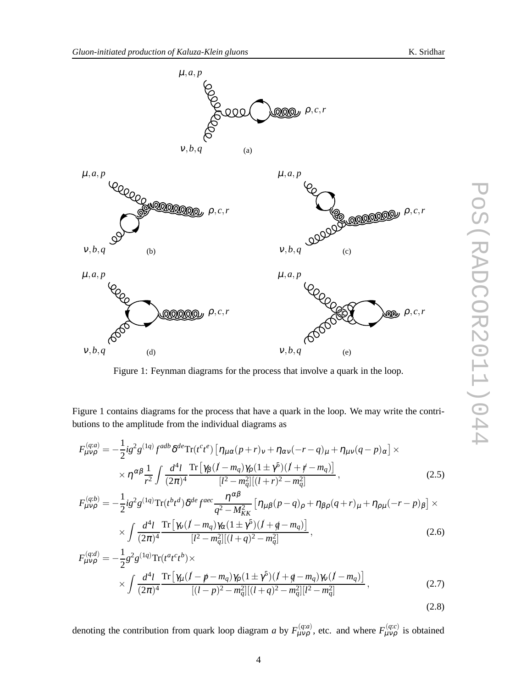PoS(RADCOR2011)044

 $\overline{\phantom{a}}$ 

POS (RADCOR2011)04



Figure 1: Feynman diagrams for the process that involve a quark in the loop.

Figure 1 contains diagrams for the process that have a quark in the loop. We may write the contributions to the amplitude from the individual diagrams as

$$
F_{\mu\nu\rho}^{(q;a)} = -\frac{1}{2}ig^2g^{(1q)}f^{adb}\delta^{de}\text{Tr}(t^c t^e) \left[\eta_{\mu\alpha}(p+r)_{\nu} + \eta_{\alpha\nu}(-r-q)_{\mu} + \eta_{\mu\nu}(q-p)_{\alpha}\right] \times
$$
  
 
$$
\times \eta^{\alpha\beta} \frac{1}{r^2} \int \frac{d^4l}{(2\pi)^4} \frac{\text{Tr}\left[\gamma_{\beta}(l-m_q)\gamma_{\rho}(1\pm\gamma^5)(l+r-m_q)\right]}{[l^2-m_q^2][(l+r)^2-m_q^2]},
$$
 (2.5)

$$
F_{\mu\nu\rho}^{(q:b)} = -\frac{1}{2} i g^2 g^{(1q)} \text{Tr}(t^b t^d) \delta^{de} f^{aec} \frac{\eta^{\alpha\beta}}{q^2 - M_{KK}^2} \left[ \eta_{\mu\beta} (p - q)_{\rho} + \eta_{\beta\rho} (q + r)_{\mu} + \eta_{\rho\mu} (-r - p)_{\beta} \right] \times \times \int \frac{d^4 l}{(2\pi)^4} \frac{\text{Tr} \left[ \gamma_\nu (l - m_q) \gamma_\alpha (1 \pm \gamma^5) (l + q - m_q) \right]}{[l^2 - m_q^2] [(l + q)^2 - m_q^2]},
$$
\n(2.6)

$$
F_{\mu\nu\rho}^{(q;d)} = -\frac{1}{2}g^2g^{(1q)}\text{Tr}(t^a t^c t^b) \times
$$
  
 
$$
\times \int \frac{d^4l}{(2\pi)^4} \frac{\text{Tr}\left[\gamma_\mu (l - p - m_q)\gamma_\rho (1 \pm \gamma^5)(l + q - m_q)\gamma_\nu (l - m_q)\right]}{[(l - p)^2 - m_q^2][(l + q)^2 - m_q^2][l^2 - m_q^2]},
$$
 (2.7)

denoting the contribution from quark loop diagram *a* by  $F_{\mu\nu\rho}^{(q;a)}$ , etc. and where  $F_{\mu\nu\rho}^{(q;c)}$  is obtained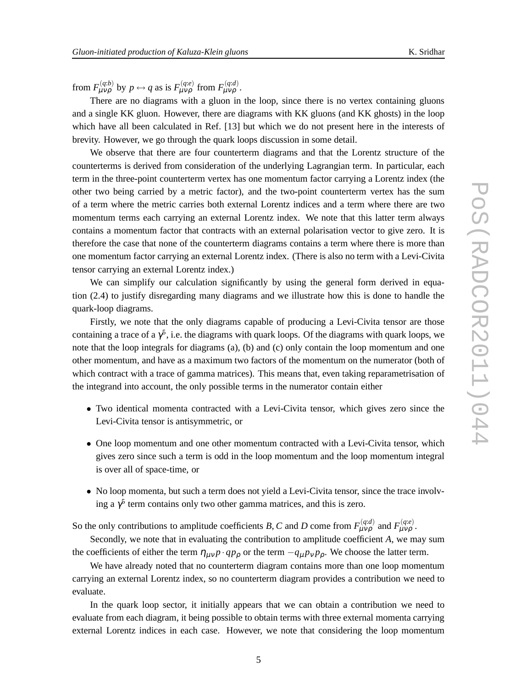from  $F_{\mu\nu\rho}^{(q:b)}$  by  $p \leftrightarrow q$  as is  $F_{\mu\nu\rho}^{(q:e)}$  from  $F_{\mu\nu\rho}^{(q:d)}$ .

There are no diagrams with a gluon in the loop, since there is no vertex containing gluons and a single KK gluon. However, there are diagrams with KK gluons (and KK ghosts) in the loop which have all been calculated in Ref. [13] but which we do not present here in the interests of brevity. However, we go through the quark loops discussion in some detail.

We observe that there are four counterterm diagrams and that the Lorentz structure of the counterterms is derived from consideration of the underlying Lagrangian term. In particular, each term in the three-point counterterm vertex has one momentum factor carrying a Lorentz index (the other two being carried by a metric factor), and the two-point counterterm vertex has the sum of a term where the metric carries both external Lorentz indices and a term where there are two momentum terms each carrying an external Lorentz index. We note that this latter term always contains a momentum factor that contracts with an external polarisation vector to give zero. It is therefore the case that none of the counterterm diagrams contains a term where there is more than one momentum factor carrying an external Lorentz index. (There is also no term with a Levi-Civita tensor carrying an external Lorentz index.)

We can simplify our calculation significantly by using the general form derived in equation (2.4) to justify disregarding many diagrams and we illustrate how this is done to handle the quark-loop diagrams.

Firstly, we note that the only diagrams capable of producing a Levi-Civita tensor are those containing a trace of a  $\gamma^5$ , i.e. the diagrams with quark loops. Of the diagrams with quark loops, we note that the loop integrals for diagrams (a), (b) and (c) only contain the loop momentum and one other momentum, and have as a maximum two factors of the momentum on the numerator (both of which contract with a trace of gamma matrices). This means that, even taking reparametrisation of the integrand into account, the only possible terms in the numerator contain either

- Two identical momenta contracted with a Levi-Civita tensor, which gives zero since the Levi-Civita tensor is antisymmetric, or
- One loop momentum and one other momentum contracted with a Levi-Civita tensor, which gives zero since such a term is odd in the loop momentum and the loop momentum integral is over all of space-time, or
- No loop momenta, but such a term does not yield a Levi-Civita tensor, since the trace involving a  $\gamma^5$  term contains only two other gamma matrices, and this is zero.

So the only contributions to amplitude coefficients *B*, *C* and *D* come from  $F_{\mu\nu\rho}^{(q:d)}$  and  $F_{\mu\nu\rho}^{(q:e)}$ .

Secondly, we note that in evaluating the contribution to amplitude coefficient *A*, we may sum the coefficients of either the term  $\eta_{\mu\nu} p \cdot q p_{\rho}$  or the term  $-q_{\mu} p_{\nu} p_{\rho}$ . We choose the latter term.

We have already noted that no counterterm diagram contains more than one loop momentum carrying an external Lorentz index, so no counterterm diagram provides a contribution we need to evaluate.

In the quark loop sector, it initially appears that we can obtain a contribution we need to evaluate from each diagram, it being possible to obtain terms with three external momenta carrying external Lorentz indices in each case. However, we note that considering the loop momentum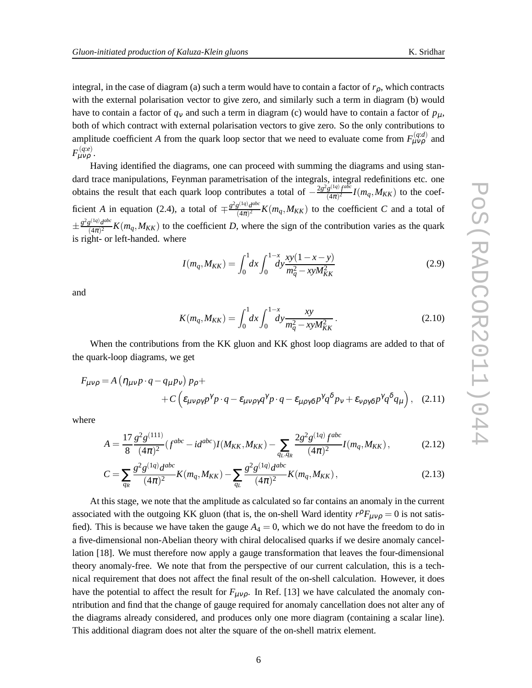integral, in the case of diagram (a) such a term would have to contain a factor of  $r<sub>0</sub>$ , which contracts with the external polarisation vector to give zero, and similarly such a term in diagram (b) would have to contain a factor of  $q_v$  and such a term in diagram (c) would have to contain a factor of  $p_\mu$ , both of which contract with external polarisation vectors to give zero. So the only contributions to amplitude coefficient *A* from the quark loop sector that we need to evaluate come from  $F_{\mu\nu\rho}^{(q:d)}$  and  $F$ <sup>(q:e)</sup>.

Having identified the diagrams, one can proceed with summing the diagrams and using standard trace manipulations, Feynman parametrisation of the integrals, integral redefinitions etc. one obtains the result that each quark loop contributes a total of  $-\frac{2g^2g^{(1q)}f^{abc}}{(4\pi)^2}$  $\frac{g^{(1,1)}f^{(2,0)}}{(4\pi)^2}I(m_q,M_{KK})$  to the coefficient *A* in equation (2.4), a total of  $\mp \frac{g^2 g^{(1q)} d^{abc}}{(4\pi)^2}$  $\frac{g(x,y)q^{\alpha(x)}}{(4\pi)^2}K(m_q,M_{KK})$  to the coefficient *C* and a total of  $\pm \frac{g^2 g^{(1q)} d^{abc}}{(4\pi)^2}$  $\frac{g^{(1,4)}d^{(2,4)}}{(4\pi)^2}K(m_q,M_{KK})$  to the coefficient *D*, where the sign of the contribution varies as the quark is right- or left-handed. where

$$
I(m_q, M_{KK}) = \int_0^1 dx \int_0^{1-x} dy \frac{xy(1-x-y)}{m_q^2 - xyM_{KK}^2}
$$
 (2.9)

and

$$
K(m_q, M_{KK}) = \int_0^1 dx \int_0^{1-x} dy \frac{xy}{m_q^2 - xyM_{KK}^2}.
$$
 (2.10)

When the contributions from the KK gluon and KK ghost loop diagrams are added to that of the quark-loop diagrams, we get

$$
F_{\mu\nu\rho} = A \left( \eta_{\mu\nu} p \cdot q - q_{\mu} p_{\nu} \right) p_{\rho} +
$$
  
+ 
$$
C \left( \varepsilon_{\mu\nu\rho\gamma\rho} p^{\gamma} p \cdot q - \varepsilon_{\mu\nu\rho\gamma q} q^{\gamma} p \cdot q - \varepsilon_{\mu\rho\gamma\delta} p^{\gamma} q^{\delta} p_{\nu} + \varepsilon_{\nu\rho\gamma\delta} p^{\gamma} q^{\delta} q_{\mu} \right), \quad (2.11)
$$

where

$$
A = \frac{17}{8} \frac{g^2 g^{(111)}}{(4\pi)^2} (f^{abc} - id^{abc}) I(M_{KK}, M_{KK}) - \sum_{q_L, q_R} \frac{2g^2 g^{(1q)} f^{abc}}{(4\pi)^2} I(m_q, M_{KK}), \tag{2.12}
$$

$$
C = \sum_{q_R} \frac{g^2 g^{(1q)} d^{abc}}{(4\pi)^2} K(m_q, M_{KK}) - \sum_{q_L} \frac{g^2 g^{(1q)} d^{abc}}{(4\pi)^2} K(m_q, M_{KK}), \qquad (2.13)
$$

At this stage, we note that the amplitude as calculated so far contains an anomaly in the current associated with the outgoing KK gluon (that is, the on-shell Ward identity  $r^{\rho}F_{\mu\nu\rho} = 0$  is not satisfied). This is because we have taken the gauge  $A_4 = 0$ , which we do not have the freedom to do in a five-dimensional non-Abelian theory with chiral delocalised quarks if we desire anomaly cancellation [18]. We must therefore now apply a gauge transformation that leaves the four-dimensional theory anomaly-free. We note that from the perspective of our current calculation, this is a technical requirement that does not affect the final result of the on-shell calculation. However, it does have the potential to affect the result for  $F_{\mu\nu\rho}$ . In Ref. [13] we have calculated the anomaly conntribution and find that the change of gauge required for anomaly cancellation does not alter any of the diagrams already considered, and produces only one more diagram (containing a scalar line). This additional diagram does not alter the square of the on-shell matrix element.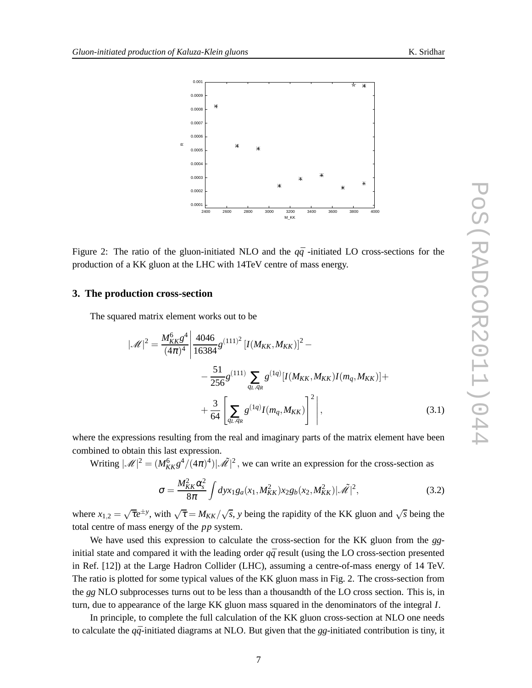

Figure 2: The ratio of the gluon-initiated NLO and the  $q\bar{q}$ -initiated LO cross-sections for the production of a KK gluon at the LHC with 14TeV centre of mass energy.

#### **3. The production cross-section**

The squared matrix element works out to be

$$
|\mathcal{M}|^2 = \frac{M_{KK}^6 g^4}{(4\pi)^4} \left| \frac{4046}{16384} g^{(111)^2} \left[ I(M_{KK}, M_{KK}) \right]^2 - \frac{51}{256} g^{(111)} \sum_{q_L, q_R} g^{(1q)} \left[ I(M_{KK}, M_{KK}) I(m_q, M_{KK}) \right] + \frac{3}{64} \left[ \sum_{q_L, q_R} g^{(1q)} I(m_q, M_{KK}) \right]^2 \right],
$$
\n(3.1)

where the expressions resulting from the real and imaginary parts of the matrix element have been combined to obtain this last expression.

Writing  $|\mathcal{M}|^2 = (M_{KK}^6 g^4/(4\pi)^4)|\mathcal{M}|^2$ , we can write an expression for the cross-section as

$$
\sigma = \frac{M_{KK}^2 \alpha_s^2}{8\pi} \int dy x_1 g_a(x_1, M_{KK}^2) x_2 g_b(x_2, M_{KK}^2) |\tilde{\mathcal{M}}|^2,
$$
 (3.2)

where  $x_{1,2} = \sqrt{\tau}e^{\pm y}$ , with  $\sqrt{\tau} = M_{KK}/\sqrt{s}$ , *y* being the rapidity of the KK gluon and  $\sqrt{s}$  being the total centre of mass energy of the *pp* system.

We have used this expression to calculate the cross-section for the KK gluon from the *gg*initial state and compared it with the leading order  $q\bar{q}$  result (using the LO cross-section presented in Ref. [12]) at the Large Hadron Collider (LHC), assuming a centre-of-mass energy of 14 TeV. The ratio is plotted for some typical values of the KK gluon mass in Fig. 2. The cross-section from the *gg* NLO subprocesses turns out to be less than a thousandth of the LO cross section. This is, in turn, due to appearance of the large KK gluon mass squared in the denominators of the integral *I*.

In principle, to complete the full calculation of the KK gluon cross-section at NLO one needs to calculate the  $q\bar{q}$ -initiated diagrams at NLO. But given that the *gg*-initiated contribution is tiny, it